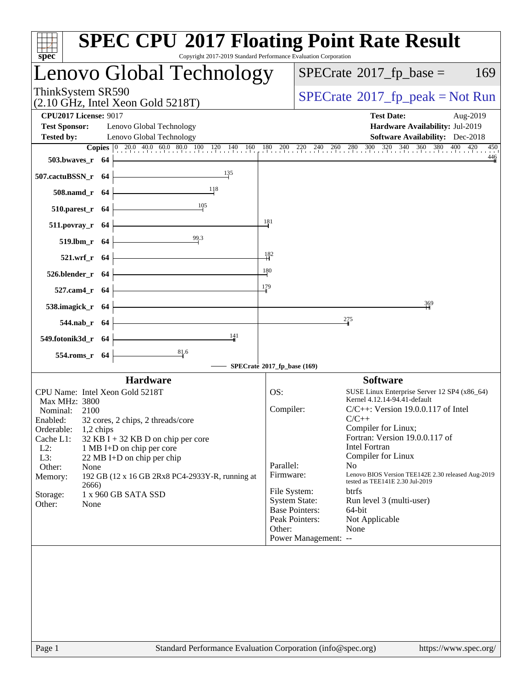| spec <sup>®</sup>                                                                                                                                                                                                                                                                                                                                                                                                                                  | <b>SPEC CPU®2017 Floating Point Rate Result</b><br>Copyright 2017-2019 Standard Performance Evaluation Corporation                                                                                                                                                                                                                                                                                                                                                                                                                                                                                                       |
|----------------------------------------------------------------------------------------------------------------------------------------------------------------------------------------------------------------------------------------------------------------------------------------------------------------------------------------------------------------------------------------------------------------------------------------------------|--------------------------------------------------------------------------------------------------------------------------------------------------------------------------------------------------------------------------------------------------------------------------------------------------------------------------------------------------------------------------------------------------------------------------------------------------------------------------------------------------------------------------------------------------------------------------------------------------------------------------|
| Lenovo Global Technology                                                                                                                                                                                                                                                                                                                                                                                                                           | $SPECrate^{\circ}2017$ _fp_base =<br>169                                                                                                                                                                                                                                                                                                                                                                                                                                                                                                                                                                                 |
| ThinkSystem SR590<br>$(2.10 \text{ GHz}, \text{Intel Xeon Gold } 5218 \text{T})$                                                                                                                                                                                                                                                                                                                                                                   | $SPECrate^{\circ}2017$ [p_peak = Not Run                                                                                                                                                                                                                                                                                                                                                                                                                                                                                                                                                                                 |
| <b>CPU2017 License: 9017</b><br><b>Test Sponsor:</b><br>Lenovo Global Technology<br><b>Tested by:</b><br>Lenovo Global Technology                                                                                                                                                                                                                                                                                                                  | <b>Test Date:</b><br>Aug-2019<br>Hardware Availability: Jul-2019<br><b>Software Availability:</b> Dec-2018                                                                                                                                                                                                                                                                                                                                                                                                                                                                                                               |
| $503.bwaves_r$ 64<br>135<br>507.cactuBSSN_r 64<br>118<br>508.namd_r 64                                                                                                                                                                                                                                                                                                                                                                             | <b>Copies</b> 0 20.0 40.0 60.0 80.0 100 120 140 160 180 200 220 240 260 280 300 320 340 360 380 400 420 450<br>450<br>446                                                                                                                                                                                                                                                                                                                                                                                                                                                                                                |
| 105<br>$510.parest_r$ 64                                                                                                                                                                                                                                                                                                                                                                                                                           |                                                                                                                                                                                                                                                                                                                                                                                                                                                                                                                                                                                                                          |
| 511.povray_r 64<br>$\frac{99.3}{4}$<br>519.lbm_r 64                                                                                                                                                                                                                                                                                                                                                                                                | 181                                                                                                                                                                                                                                                                                                                                                                                                                                                                                                                                                                                                                      |
| 521.wrf_r 64<br>526.blender_r 64                                                                                                                                                                                                                                                                                                                                                                                                                   | $\frac{182}{1}$<br>180<br>179                                                                                                                                                                                                                                                                                                                                                                                                                                                                                                                                                                                            |
| 527.cam4_r 64<br>538.imagick_r 64                                                                                                                                                                                                                                                                                                                                                                                                                  | 369<br>275                                                                                                                                                                                                                                                                                                                                                                                                                                                                                                                                                                                                               |
| 544.nab_r 64<br>141<br>549.fotonik3d_r 64<br>$\frac{81}{9}$ .6                                                                                                                                                                                                                                                                                                                                                                                     |                                                                                                                                                                                                                                                                                                                                                                                                                                                                                                                                                                                                                          |
| 554.roms_r 64                                                                                                                                                                                                                                                                                                                                                                                                                                      | SPECrate®2017_fp_base (169)                                                                                                                                                                                                                                                                                                                                                                                                                                                                                                                                                                                              |
| <b>Hardware</b><br>CPU Name: Intel Xeon Gold 5218T<br>Max MHz: 3800<br>Nominal:<br>2100<br>Enabled:<br>32 cores, 2 chips, 2 threads/core<br>Orderable:<br>1,2 chips<br>Cache L1:<br>$32$ KB I + 32 KB D on chip per core<br>$L2$ :<br>1 MB I+D on chip per core<br>L3:<br>22 MB I+D on chip per chip<br>Other:<br>None<br>Memory:<br>192 GB (12 x 16 GB 2Rx8 PC4-2933Y-R, running at<br>2666)<br>1 x 960 GB SATA SSD<br>Storage:<br>Other:<br>None | <b>Software</b><br>OS:<br>SUSE Linux Enterprise Server 12 SP4 (x86_64)<br>Kernel 4.12.14-94.41-default<br>Compiler:<br>$C/C++$ : Version 19.0.0.117 of Intel<br>$C/C++$<br>Compiler for Linux;<br>Fortran: Version 19.0.0.117 of<br><b>Intel Fortran</b><br>Compiler for Linux<br>Parallel:<br>N <sub>o</sub><br>Lenovo BIOS Version TEE142E 2.30 released Aug-2019<br>Firmware:<br>tested as TEE141E 2.30 Jul-2019<br>File System:<br><b>btrfs</b><br>Run level 3 (multi-user)<br><b>System State:</b><br><b>Base Pointers:</b><br>64-bit<br>Peak Pointers:<br>Not Applicable<br>Other:<br>None<br>Power Management: -- |
|                                                                                                                                                                                                                                                                                                                                                                                                                                                    |                                                                                                                                                                                                                                                                                                                                                                                                                                                                                                                                                                                                                          |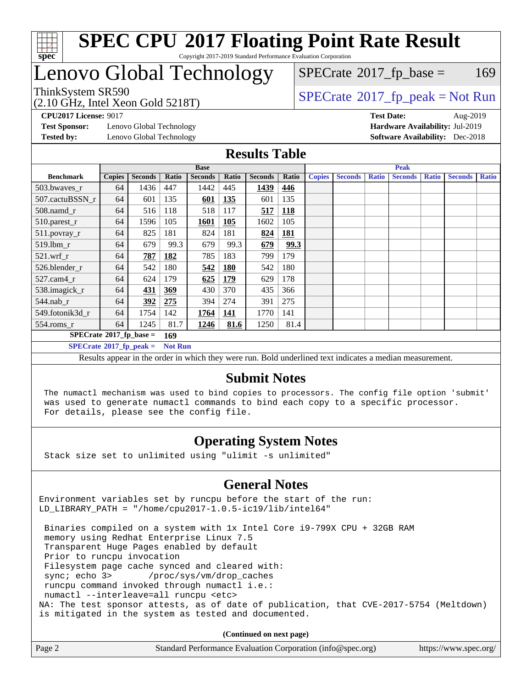

# Lenovo Global Technology

# $SPECTate$ <sup>®</sup>[2017\\_fp\\_base =](http://www.spec.org/auto/cpu2017/Docs/result-fields.html#SPECrate2017fpbase) 169

(2.10 GHz, Intel Xeon Gold 5218T)

 $SPECTate@2017_fp\_peak = Not Run$ 

**[Test Sponsor:](http://www.spec.org/auto/cpu2017/Docs/result-fields.html#TestSponsor)** Lenovo Global Technology **[Hardware Availability:](http://www.spec.org/auto/cpu2017/Docs/result-fields.html#HardwareAvailability)** Jul-2019 **[Tested by:](http://www.spec.org/auto/cpu2017/Docs/result-fields.html#Testedby)** Lenovo Global Technology **[Software Availability:](http://www.spec.org/auto/cpu2017/Docs/result-fields.html#SoftwareAvailability)** Dec-2018

**[CPU2017 License:](http://www.spec.org/auto/cpu2017/Docs/result-fields.html#CPU2017License)** 9017 **[Test Date:](http://www.spec.org/auto/cpu2017/Docs/result-fields.html#TestDate)** Aug-2019

#### **[Results Table](http://www.spec.org/auto/cpu2017/Docs/result-fields.html#ResultsTable)**

|                            | <b>Base</b>                      |                |       |                | <b>Peak</b> |                |       |               |                |              |                |              |                |              |
|----------------------------|----------------------------------|----------------|-------|----------------|-------------|----------------|-------|---------------|----------------|--------------|----------------|--------------|----------------|--------------|
| <b>Benchmark</b>           | <b>Copies</b>                    | <b>Seconds</b> | Ratio | <b>Seconds</b> | Ratio       | <b>Seconds</b> | Ratio | <b>Copies</b> | <b>Seconds</b> | <b>Ratio</b> | <b>Seconds</b> | <b>Ratio</b> | <b>Seconds</b> | <b>Ratio</b> |
| 503.bwayes_r               | 64                               | 1436           | 447   | 1442           | 445         | 1439           | 446   |               |                |              |                |              |                |              |
| 507.cactuBSSN r            | 64                               | 601            | 135   | 601            | 135         | 601            | 135   |               |                |              |                |              |                |              |
| $508$ .namd $r$            | 64                               | 516            | 118   | 518            | 117         | 517            | 118   |               |                |              |                |              |                |              |
| $510.parest_r$             | 64                               | 1596           | 105   | 1601           | <b>105</b>  | 1602           | 105   |               |                |              |                |              |                |              |
| 511.povray_r               | 64                               | 825            | 181   | 824            | 181         | 824            | 181   |               |                |              |                |              |                |              |
| 519.lbm r                  | 64                               | 679            | 99.3  | 679            | 99.3        | 679            | 99.3  |               |                |              |                |              |                |              |
| $521$ .wrf r               | 64                               | 787            | 182   | 785            | 183         | 799            | 179   |               |                |              |                |              |                |              |
| 526.blender r              | 64                               | 542            | 180   | 542            | <u>180</u>  | 542            | 180   |               |                |              |                |              |                |              |
| $527.cam4_r$               | 64                               | 624            | 179   | 625            | 179         | 629            | 178   |               |                |              |                |              |                |              |
| 538.imagick_r              | 64                               | 431            | 369   | 430            | 370         | 435            | 366   |               |                |              |                |              |                |              |
| $544$ .nab r               | 64                               | 392            | 275   | 394            | 274         | 391            | 275   |               |                |              |                |              |                |              |
| 549.fotonik3d r            | 64                               | 1754           | 142   | 1764           | 141         | 1770           | 141   |               |                |              |                |              |                |              |
| $554$ .roms_r              | 64                               | 1245           | 81.7  | 1246           | 81.6        | 1250           | 81.4  |               |                |              |                |              |                |              |
| $SPECrate*2017_fp\_base =$ |                                  |                | 169   |                |             |                |       |               |                |              |                |              |                |              |
|                            | $SPECrate^{\circ}2017$ fp peak = |                |       | <b>Not Run</b> |             |                |       |               |                |              |                |              |                |              |

Results appear in the [order in which they were run.](http://www.spec.org/auto/cpu2017/Docs/result-fields.html#RunOrder) Bold underlined text [indicates a median measurement.](http://www.spec.org/auto/cpu2017/Docs/result-fields.html#Median)

#### **[Submit Notes](http://www.spec.org/auto/cpu2017/Docs/result-fields.html#SubmitNotes)**

 The numactl mechanism was used to bind copies to processors. The config file option 'submit' was used to generate numactl commands to bind each copy to a specific processor. For details, please see the config file.

### **[Operating System Notes](http://www.spec.org/auto/cpu2017/Docs/result-fields.html#OperatingSystemNotes)**

Stack size set to unlimited using "ulimit -s unlimited"

### **[General Notes](http://www.spec.org/auto/cpu2017/Docs/result-fields.html#GeneralNotes)**

Environment variables set by runcpu before the start of the run: LD\_LIBRARY\_PATH = "/home/cpu2017-1.0.5-ic19/lib/intel64"

 Binaries compiled on a system with 1x Intel Core i9-799X CPU + 32GB RAM memory using Redhat Enterprise Linux 7.5 Transparent Huge Pages enabled by default Prior to runcpu invocation Filesystem page cache synced and cleared with: sync; echo 3> /proc/sys/vm/drop\_caches runcpu command invoked through numactl i.e.: numactl --interleave=all runcpu <etc> NA: The test sponsor attests, as of date of publication, that CVE-2017-5754 (Meltdown) is mitigated in the system as tested and documented.

**(Continued on next page)**

| Page 2 | Standard Performance Evaluation Corporation (info@spec.org) | https://www.spec.org/ |
|--------|-------------------------------------------------------------|-----------------------|
|--------|-------------------------------------------------------------|-----------------------|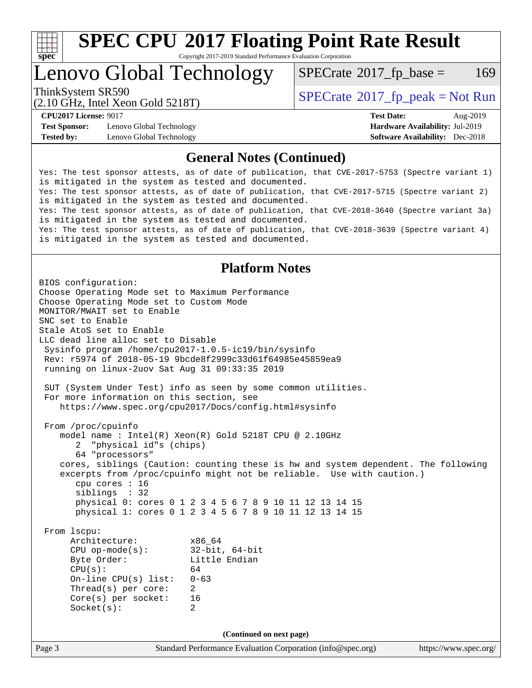

### Lenovo Global Technology

 $SPECTate$ <sup>®</sup>[2017\\_fp\\_base =](http://www.spec.org/auto/cpu2017/Docs/result-fields.html#SPECrate2017fpbase) 169

(2.10 GHz, Intel Xeon Gold 5218T)

ThinkSystem SR590<br>  $SPECTA = Not Run$ <br>  $SPECTA = Not Run$ 

**[Test Sponsor:](http://www.spec.org/auto/cpu2017/Docs/result-fields.html#TestSponsor)** Lenovo Global Technology **[Hardware Availability:](http://www.spec.org/auto/cpu2017/Docs/result-fields.html#HardwareAvailability)** Jul-2019 **[Tested by:](http://www.spec.org/auto/cpu2017/Docs/result-fields.html#Testedby)** Lenovo Global Technology **[Software Availability:](http://www.spec.org/auto/cpu2017/Docs/result-fields.html#SoftwareAvailability)** Dec-2018

**[CPU2017 License:](http://www.spec.org/auto/cpu2017/Docs/result-fields.html#CPU2017License)** 9017 **[Test Date:](http://www.spec.org/auto/cpu2017/Docs/result-fields.html#TestDate)** Aug-2019

#### **[General Notes \(Continued\)](http://www.spec.org/auto/cpu2017/Docs/result-fields.html#GeneralNotes)**

Yes: The test sponsor attests, as of date of publication, that CVE-2017-5753 (Spectre variant 1) is mitigated in the system as tested and documented. Yes: The test sponsor attests, as of date of publication, that CVE-2017-5715 (Spectre variant 2) is mitigated in the system as tested and documented. Yes: The test sponsor attests, as of date of publication, that CVE-2018-3640 (Spectre variant 3a) is mitigated in the system as tested and documented. Yes: The test sponsor attests, as of date of publication, that CVE-2018-3639 (Spectre variant 4) is mitigated in the system as tested and documented.

#### **[Platform Notes](http://www.spec.org/auto/cpu2017/Docs/result-fields.html#PlatformNotes)**

Page 3 Standard Performance Evaluation Corporation [\(info@spec.org\)](mailto:info@spec.org) <https://www.spec.org/> BIOS configuration: Choose Operating Mode set to Maximum Performance Choose Operating Mode set to Custom Mode MONITOR/MWAIT set to Enable SNC set to Enable Stale AtoS set to Enable LLC dead line alloc set to Disable Sysinfo program /home/cpu2017-1.0.5-ic19/bin/sysinfo Rev: r5974 of 2018-05-19 9bcde8f2999c33d61f64985e45859ea9 running on linux-2uov Sat Aug 31 09:33:35 2019 SUT (System Under Test) info as seen by some common utilities. For more information on this section, see <https://www.spec.org/cpu2017/Docs/config.html#sysinfo> From /proc/cpuinfo model name : Intel(R) Xeon(R) Gold 5218T CPU @ 2.10GHz 2 "physical id"s (chips) 64 "processors" cores, siblings (Caution: counting these is hw and system dependent. The following excerpts from /proc/cpuinfo might not be reliable. Use with caution.) cpu cores : 16 siblings : 32 physical 0: cores 0 1 2 3 4 5 6 7 8 9 10 11 12 13 14 15 physical 1: cores 0 1 2 3 4 5 6 7 8 9 10 11 12 13 14 15 From lscpu: Architecture: x86\_64 CPU op-mode(s): 32-bit, 64-bit Byte Order: Little Endian  $CPU(s):$  64 On-line CPU(s) list: 0-63 Thread(s) per core: 2 Core(s) per socket: 16 Socket(s): 2 **(Continued on next page)**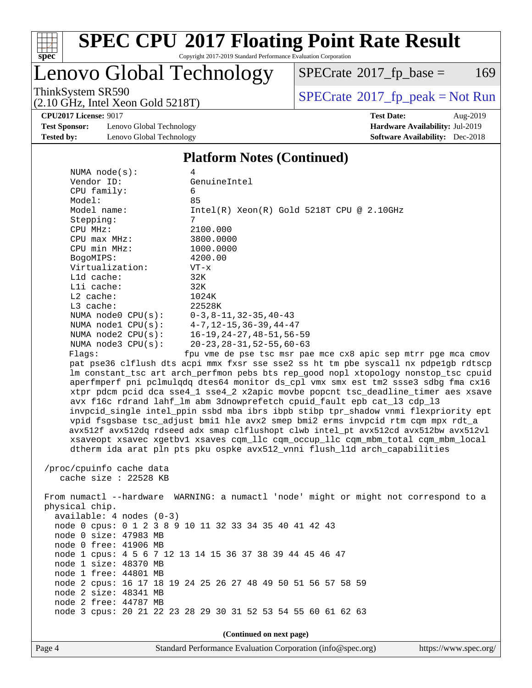

# **[SPEC CPU](http://www.spec.org/auto/cpu2017/Docs/result-fields.html#SPECCPU2017FloatingPointRateResult)[2017 Floating Point Rate Result](http://www.spec.org/auto/cpu2017/Docs/result-fields.html#SPECCPU2017FloatingPointRateResult)**

Copyright 2017-2019 Standard Performance Evaluation Corporation

### Lenovo Global Technology

 $SPECTate$ <sup>®</sup>[2017\\_fp\\_base =](http://www.spec.org/auto/cpu2017/Docs/result-fields.html#SPECrate2017fpbase) 169

ThinkSystem SR590<br>  $(2.10 \text{ GHz}_{\text{total}} \text{ York})$  Spectrate®[2017\\_fp\\_peak = N](http://www.spec.org/auto/cpu2017/Docs/result-fields.html#SPECrate2017fppeak)ot Run

**[CPU2017 License:](http://www.spec.org/auto/cpu2017/Docs/result-fields.html#CPU2017License)** 9017 **[Test Date:](http://www.spec.org/auto/cpu2017/Docs/result-fields.html#TestDate)** Aug-2019

**[Test Sponsor:](http://www.spec.org/auto/cpu2017/Docs/result-fields.html#TestSponsor)** Lenovo Global Technology **[Hardware Availability:](http://www.spec.org/auto/cpu2017/Docs/result-fields.html#HardwareAvailability)** Jul-2019 **[Tested by:](http://www.spec.org/auto/cpu2017/Docs/result-fields.html#Testedby)** Lenovo Global Technology **[Software Availability:](http://www.spec.org/auto/cpu2017/Docs/result-fields.html#SoftwareAvailability)** Dec-2018

(2.10 GHz, Intel Xeon Gold 5218T)

#### **[Platform Notes \(Continued\)](http://www.spec.org/auto/cpu2017/Docs/result-fields.html#PlatformNotes)**

| NUMA $node(s):$                                | 4                                                                                   |
|------------------------------------------------|-------------------------------------------------------------------------------------|
| Vendor ID:                                     | GenuineIntel                                                                        |
| CPU family:                                    | 6                                                                                   |
| Model:                                         | 85                                                                                  |
| Model name:                                    | $Intel(R)$ Xeon $(R)$ Gold 5218T CPU @ 2.10GHz                                      |
| Stepping:                                      | 7                                                                                   |
| CPU MHz:                                       | 2100.000                                                                            |
| $CPU$ max $MHz$ :                              | 3800.0000                                                                           |
| CPU min MHz:                                   | 1000.0000                                                                           |
| BogoMIPS:                                      | 4200.00                                                                             |
| Virtualization:                                | $VT - x$                                                                            |
| L1d cache:                                     | 32K                                                                                 |
| Lli cache:                                     | 32K                                                                                 |
| $L2$ cache:                                    | 1024K                                                                               |
| $L3$ cache:                                    | 22528K                                                                              |
| NUMA node0 $CPU(s):$ $0-3, 8-11, 32-35, 40-43$ |                                                                                     |
| NUMA nodel CPU(s): 4-7, 12-15, 36-39, 44-47    |                                                                                     |
|                                                | NUMA node2 CPU(s): 16-19, 24-27, 48-51, 56-59                                       |
| NUMA $node3$ $CPU(s):$                         | 20-23,28-31,52-55,60-63                                                             |
| Flaqs:                                         | fpu vme de pse tsc msr pae mce cx8 apic sep mtrr pqe mca cmov                       |
|                                                | pat pse36 clflush dts acpi mmx fxsr sse sse2 ss ht tm pbe syscall nx pdpelgb rdtscp |
|                                                | Im constant tsc art arch perfmon pebs bts rep good nopl xtopology nonstop tsc cpuid |
|                                                | aperfmperf pni pclmulgdg dtes64 monitor ds cpl vmx smx est tm2 ssse3 sdbg fma cx16  |
|                                                | xtpr pdcm pcid dca sse4 1 sse4 2 x2apic movbe popcnt tsc deadline timer aes xsave   |

 avx f16c rdrand lahf\_lm abm 3dnowprefetch cpuid\_fault epb cat\_l3 cdp\_l3 invpcid\_single intel\_ppin ssbd mba ibrs ibpb stibp tpr\_shadow vnmi flexpriority ept vpid fsgsbase tsc\_adjust bmi1 hle avx2 smep bmi2 erms invpcid rtm cqm mpx rdt\_a avx512f avx512dq rdseed adx smap clflushopt clwb intel\_pt avx512cd avx512bw avx512vl xsaveopt xsavec xgetbv1 xsaves cqm\_llc cqm\_occup\_llc cqm\_mbm\_total cqm\_mbm\_local dtherm ida arat pln pts pku ospke avx512\_vnni flush\_l1d arch\_capabilities

 /proc/cpuinfo cache data cache size : 22528 KB

 From numactl --hardware WARNING: a numactl 'node' might or might not correspond to a physical chip. available: 4 nodes (0-3) node 0 cpus: 0 1 2 3 8 9 10 11 32 33 34 35 40 41 42 43 node 0 size: 47983 MB node 0 free: 41906 MB node 1 cpus: 4 5 6 7 12 13 14 15 36 37 38 39 44 45 46 47 node 1 size: 48370 MB node 1 free: 44801 MB node 2 cpus: 16 17 18 19 24 25 26 27 48 49 50 51 56 57 58 59 node 2 size: 48341 MB node 2 free: 44787 MB node 3 cpus: 20 21 22 23 28 29 30 31 52 53 54 55 60 61 62 63

**(Continued on next page)**

Page 4 Standard Performance Evaluation Corporation [\(info@spec.org\)](mailto:info@spec.org) <https://www.spec.org/>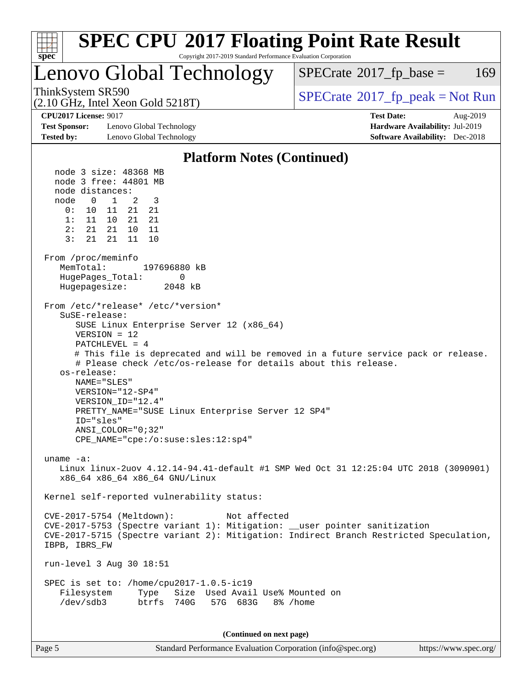

| 5 |  |  |  |
|---|--|--|--|
|   |  |  |  |

Page 5 Standard Performance Evaluation Corporation [\(info@spec.org\)](mailto:info@spec.org) <https://www.spec.org/>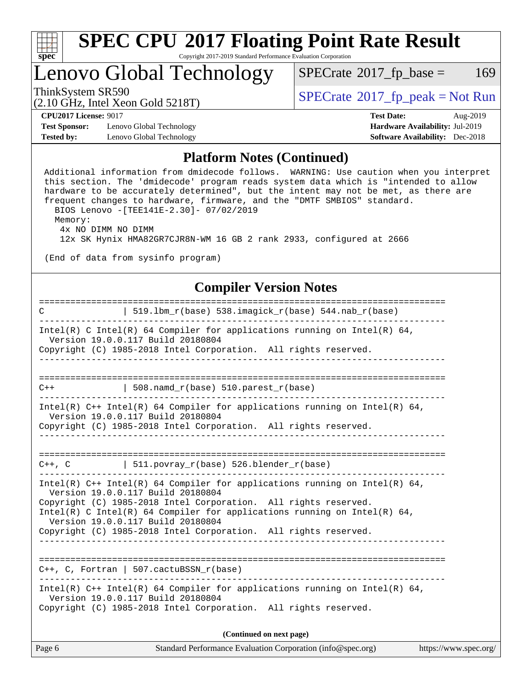

# Lenovo Global Technology

 $SPECTate$ <sup>®</sup>[2017\\_fp\\_base =](http://www.spec.org/auto/cpu2017/Docs/result-fields.html#SPECrate2017fpbase) 169

(2.10 GHz, Intel Xeon Gold 5218T)

ThinkSystem SR590<br>  $SPECTR_{10}$  [SPECrate](http://www.spec.org/auto/cpu2017/Docs/result-fields.html#SPECrate2017fppeak)®[2017\\_fp\\_peak = N](http://www.spec.org/auto/cpu2017/Docs/result-fields.html#SPECrate2017fppeak)ot Run

**[Test Sponsor:](http://www.spec.org/auto/cpu2017/Docs/result-fields.html#TestSponsor)** Lenovo Global Technology **[Hardware Availability:](http://www.spec.org/auto/cpu2017/Docs/result-fields.html#HardwareAvailability)** Jul-2019 **[Tested by:](http://www.spec.org/auto/cpu2017/Docs/result-fields.html#Testedby)** Lenovo Global Technology **[Software Availability:](http://www.spec.org/auto/cpu2017/Docs/result-fields.html#SoftwareAvailability)** Dec-2018

**[CPU2017 License:](http://www.spec.org/auto/cpu2017/Docs/result-fields.html#CPU2017License)** 9017 **[Test Date:](http://www.spec.org/auto/cpu2017/Docs/result-fields.html#TestDate)** Aug-2019

#### **[Platform Notes \(Continued\)](http://www.spec.org/auto/cpu2017/Docs/result-fields.html#PlatformNotes)**

 Additional information from dmidecode follows. WARNING: Use caution when you interpret this section. The 'dmidecode' program reads system data which is "intended to allow hardware to be accurately determined", but the intent may not be met, as there are frequent changes to hardware, firmware, and the "DMTF SMBIOS" standard. BIOS Lenovo -[TEE141E-2.30]- 07/02/2019 Memory: 4x NO DIMM NO DIMM 12x SK Hynix HMA82GR7CJR8N-WM 16 GB 2 rank 2933, configured at 2666 (End of data from sysinfo program) **[Compiler Version Notes](http://www.spec.org/auto/cpu2017/Docs/result-fields.html#CompilerVersionNotes)** ============================================================================== C | 519.lbm\_r(base) 538.imagick\_r(base) 544.nab\_r(base) ------------------------------------------------------------------------------ Intel(R) C Intel(R) 64 Compiler for applications running on Intel(R) 64, Version 19.0.0.117 Build 20180804 Copyright (C) 1985-2018 Intel Corporation. All rights reserved. ------------------------------------------------------------------------------ ==============================================================================  $C++$  | 508.namd\_r(base) 510.parest\_r(base) ------------------------------------------------------------------------------ Intel(R) C++ Intel(R) 64 Compiler for applications running on Intel(R) 64, Version 19.0.0.117 Build 20180804 Copyright (C) 1985-2018 Intel Corporation. All rights reserved. ------------------------------------------------------------------------------ ==============================================================================  $C++$ ,  $C$  | 511.povray\_r(base) 526.blender\_r(base) ------------------------------------------------------------------------------ Intel(R)  $C++$  Intel(R) 64 Compiler for applications running on Intel(R) 64, Version 19.0.0.117 Build 20180804 Copyright (C) 1985-2018 Intel Corporation. All rights reserved. Intel(R) C Intel(R) 64 Compiler for applications running on Intel(R)  $64$ , Version 19.0.0.117 Build 20180804 Copyright (C) 1985-2018 Intel Corporation. All rights reserved. ------------------------------------------------------------------------------ ============================================================================== C++, C, Fortran | 507.cactuBSSN\_r(base) ------------------------------------------------------------------------------ Intel(R)  $C++$  Intel(R) 64 Compiler for applications running on Intel(R) 64, Version 19.0.0.117 Build 20180804 Copyright (C) 1985-2018 Intel Corporation. All rights reserved. **(Continued on next page)**

| Page 6 | Standard Performance Evaluation Corporation (info@spec.org) | https://www.spec.org/ |
|--------|-------------------------------------------------------------|-----------------------|
|--------|-------------------------------------------------------------|-----------------------|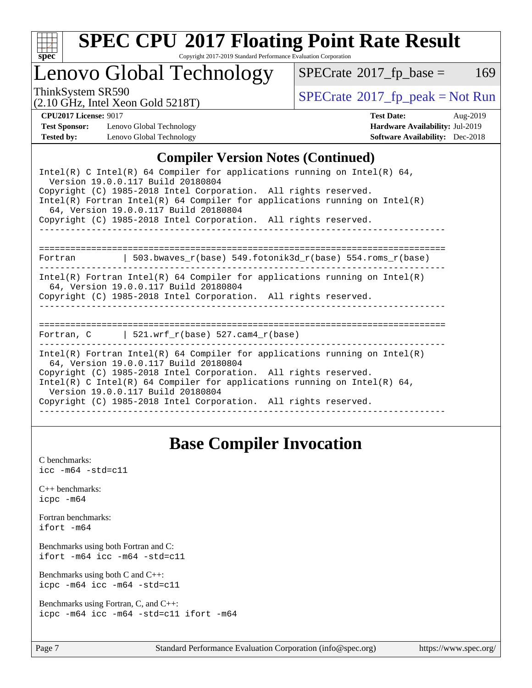

# **[SPEC CPU](http://www.spec.org/auto/cpu2017/Docs/result-fields.html#SPECCPU2017FloatingPointRateResult)[2017 Floating Point Rate Result](http://www.spec.org/auto/cpu2017/Docs/result-fields.html#SPECCPU2017FloatingPointRateResult)**

Copyright 2017-2019 Standard Performance Evaluation Corporation

### Lenovo Global Technology

 $SPECTate@2017_fp\_base = 169$ 

(2.10 GHz, Intel Xeon Gold 5218T)

ThinkSystem SR590<br>  $(2.10 \text{ GHz}_{\text{total}} \text{ York})$  Spectrate®[2017\\_fp\\_peak = N](http://www.spec.org/auto/cpu2017/Docs/result-fields.html#SPECrate2017fppeak)ot Run

**[Test Sponsor:](http://www.spec.org/auto/cpu2017/Docs/result-fields.html#TestSponsor)** Lenovo Global Technology **[Hardware Availability:](http://www.spec.org/auto/cpu2017/Docs/result-fields.html#HardwareAvailability)** Jul-2019 **[Tested by:](http://www.spec.org/auto/cpu2017/Docs/result-fields.html#Testedby)** Lenovo Global Technology **[Software Availability:](http://www.spec.org/auto/cpu2017/Docs/result-fields.html#SoftwareAvailability)** Dec-2018

**[CPU2017 License:](http://www.spec.org/auto/cpu2017/Docs/result-fields.html#CPU2017License)** 9017 **[Test Date:](http://www.spec.org/auto/cpu2017/Docs/result-fields.html#TestDate)** Aug-2019

#### **[Compiler Version Notes \(Continued\)](http://www.spec.org/auto/cpu2017/Docs/result-fields.html#CompilerVersionNotes)**

| Intel(R) C Intel(R) 64 Compiler for applications running on Intel(R) 64,<br>Version 19.0.0.117 Build 20180804<br>Copyright (C) 1985-2018 Intel Corporation. All rights reserved.<br>Intel(R) Fortran Intel(R) 64 Compiler for applications running on Intel(R)<br>64, Version 19.0.0.117 Build 20180804<br>Copyright (C) 1985-2018 Intel Corporation. All rights reserved. |
|----------------------------------------------------------------------------------------------------------------------------------------------------------------------------------------------------------------------------------------------------------------------------------------------------------------------------------------------------------------------------|
| Fortran $\vert$ 503.bwaves r(base) 549.fotonik3d r(base) 554.roms r(base)                                                                                                                                                                                                                                                                                                  |
| Intel(R) Fortran Intel(R) 64 Compiler for applications running on Intel(R)<br>64, Version 19.0.0.117 Build 20180804<br>Copyright (C) 1985-2018 Intel Corporation. All rights reserved.                                                                                                                                                                                     |
| Fortran, $C$   521.wrf $r(base)$ 527.cam4 $r(base)$                                                                                                                                                                                                                                                                                                                        |
| Intel(R) Fortran Intel(R) 64 Compiler for applications running on Intel(R)<br>64, Version 19.0.0.117 Build 20180804<br>Copyright (C) 1985-2018 Intel Corporation. All rights reserved.<br>Intel(R) C Intel(R) 64 Compiler for applications running on Intel(R) 64,<br>Version 19.0.0.117 Build 20180804<br>Copyright (C) 1985-2018 Intel Corporation. All rights reserved. |

### **[Base Compiler Invocation](http://www.spec.org/auto/cpu2017/Docs/result-fields.html#BaseCompilerInvocation)**

[C benchmarks](http://www.spec.org/auto/cpu2017/Docs/result-fields.html#Cbenchmarks):  $\text{icc}$  -m64 -std=c11 [C++ benchmarks:](http://www.spec.org/auto/cpu2017/Docs/result-fields.html#CXXbenchmarks) [icpc -m64](http://www.spec.org/cpu2017/results/res2019q3/cpu2017-20190902-17439.flags.html#user_CXXbase_intel_icpc_64bit_4ecb2543ae3f1412ef961e0650ca070fec7b7afdcd6ed48761b84423119d1bf6bdf5cad15b44d48e7256388bc77273b966e5eb805aefd121eb22e9299b2ec9d9) [Fortran benchmarks](http://www.spec.org/auto/cpu2017/Docs/result-fields.html#Fortranbenchmarks): [ifort -m64](http://www.spec.org/cpu2017/results/res2019q3/cpu2017-20190902-17439.flags.html#user_FCbase_intel_ifort_64bit_24f2bb282fbaeffd6157abe4f878425411749daecae9a33200eee2bee2fe76f3b89351d69a8130dd5949958ce389cf37ff59a95e7a40d588e8d3a57e0c3fd751) [Benchmarks using both Fortran and C](http://www.spec.org/auto/cpu2017/Docs/result-fields.html#BenchmarksusingbothFortranandC): [ifort -m64](http://www.spec.org/cpu2017/results/res2019q3/cpu2017-20190902-17439.flags.html#user_CC_FCbase_intel_ifort_64bit_24f2bb282fbaeffd6157abe4f878425411749daecae9a33200eee2bee2fe76f3b89351d69a8130dd5949958ce389cf37ff59a95e7a40d588e8d3a57e0c3fd751) [icc -m64 -std=c11](http://www.spec.org/cpu2017/results/res2019q3/cpu2017-20190902-17439.flags.html#user_CC_FCbase_intel_icc_64bit_c11_33ee0cdaae7deeeab2a9725423ba97205ce30f63b9926c2519791662299b76a0318f32ddfffdc46587804de3178b4f9328c46fa7c2b0cd779d7a61945c91cd35) [Benchmarks using both C and C++](http://www.spec.org/auto/cpu2017/Docs/result-fields.html#BenchmarksusingbothCandCXX): [icpc -m64](http://www.spec.org/cpu2017/results/res2019q3/cpu2017-20190902-17439.flags.html#user_CC_CXXbase_intel_icpc_64bit_4ecb2543ae3f1412ef961e0650ca070fec7b7afdcd6ed48761b84423119d1bf6bdf5cad15b44d48e7256388bc77273b966e5eb805aefd121eb22e9299b2ec9d9) [icc -m64 -std=c11](http://www.spec.org/cpu2017/results/res2019q3/cpu2017-20190902-17439.flags.html#user_CC_CXXbase_intel_icc_64bit_c11_33ee0cdaae7deeeab2a9725423ba97205ce30f63b9926c2519791662299b76a0318f32ddfffdc46587804de3178b4f9328c46fa7c2b0cd779d7a61945c91cd35) [Benchmarks using Fortran, C, and C++:](http://www.spec.org/auto/cpu2017/Docs/result-fields.html#BenchmarksusingFortranCandCXX) [icpc -m64](http://www.spec.org/cpu2017/results/res2019q3/cpu2017-20190902-17439.flags.html#user_CC_CXX_FCbase_intel_icpc_64bit_4ecb2543ae3f1412ef961e0650ca070fec7b7afdcd6ed48761b84423119d1bf6bdf5cad15b44d48e7256388bc77273b966e5eb805aefd121eb22e9299b2ec9d9) [icc -m64 -std=c11](http://www.spec.org/cpu2017/results/res2019q3/cpu2017-20190902-17439.flags.html#user_CC_CXX_FCbase_intel_icc_64bit_c11_33ee0cdaae7deeeab2a9725423ba97205ce30f63b9926c2519791662299b76a0318f32ddfffdc46587804de3178b4f9328c46fa7c2b0cd779d7a61945c91cd35) [ifort -m64](http://www.spec.org/cpu2017/results/res2019q3/cpu2017-20190902-17439.flags.html#user_CC_CXX_FCbase_intel_ifort_64bit_24f2bb282fbaeffd6157abe4f878425411749daecae9a33200eee2bee2fe76f3b89351d69a8130dd5949958ce389cf37ff59a95e7a40d588e8d3a57e0c3fd751)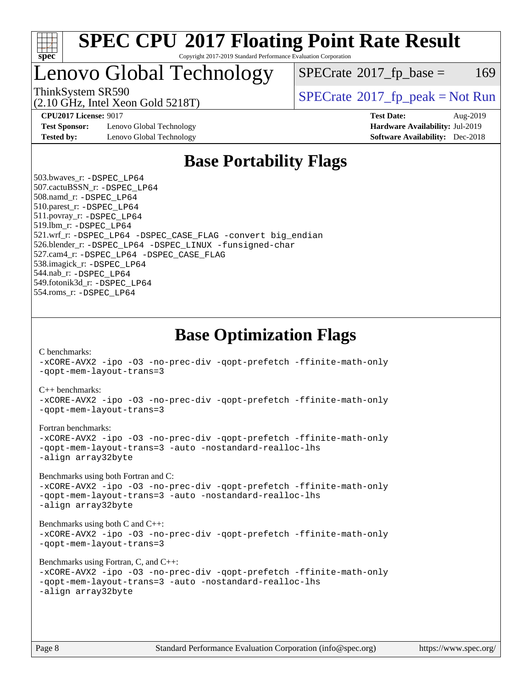

### Lenovo Global Technology

 $SPECTate$ <sup>®</sup>[2017\\_fp\\_base =](http://www.spec.org/auto/cpu2017/Docs/result-fields.html#SPECrate2017fpbase) 169

(2.10 GHz, Intel Xeon Gold 5218T)

ThinkSystem SR590<br>  $SPECTR_{10}$  [SPECrate](http://www.spec.org/auto/cpu2017/Docs/result-fields.html#SPECrate2017fppeak)®[2017\\_fp\\_peak = N](http://www.spec.org/auto/cpu2017/Docs/result-fields.html#SPECrate2017fppeak)ot Run

**[Test Sponsor:](http://www.spec.org/auto/cpu2017/Docs/result-fields.html#TestSponsor)** Lenovo Global Technology **[Hardware Availability:](http://www.spec.org/auto/cpu2017/Docs/result-fields.html#HardwareAvailability)** Jul-2019 **[Tested by:](http://www.spec.org/auto/cpu2017/Docs/result-fields.html#Testedby)** Lenovo Global Technology **[Software Availability:](http://www.spec.org/auto/cpu2017/Docs/result-fields.html#SoftwareAvailability)** Dec-2018

**[CPU2017 License:](http://www.spec.org/auto/cpu2017/Docs/result-fields.html#CPU2017License)** 9017 **[Test Date:](http://www.spec.org/auto/cpu2017/Docs/result-fields.html#TestDate)** Aug-2019

### **[Base Portability Flags](http://www.spec.org/auto/cpu2017/Docs/result-fields.html#BasePortabilityFlags)**

 503.bwaves\_r: [-DSPEC\\_LP64](http://www.spec.org/cpu2017/results/res2019q3/cpu2017-20190902-17439.flags.html#suite_basePORTABILITY503_bwaves_r_DSPEC_LP64) 507.cactuBSSN\_r: [-DSPEC\\_LP64](http://www.spec.org/cpu2017/results/res2019q3/cpu2017-20190902-17439.flags.html#suite_basePORTABILITY507_cactuBSSN_r_DSPEC_LP64) 508.namd\_r: [-DSPEC\\_LP64](http://www.spec.org/cpu2017/results/res2019q3/cpu2017-20190902-17439.flags.html#suite_basePORTABILITY508_namd_r_DSPEC_LP64) 510.parest\_r: [-DSPEC\\_LP64](http://www.spec.org/cpu2017/results/res2019q3/cpu2017-20190902-17439.flags.html#suite_basePORTABILITY510_parest_r_DSPEC_LP64) 511.povray\_r: [-DSPEC\\_LP64](http://www.spec.org/cpu2017/results/res2019q3/cpu2017-20190902-17439.flags.html#suite_basePORTABILITY511_povray_r_DSPEC_LP64) 519.lbm\_r: [-DSPEC\\_LP64](http://www.spec.org/cpu2017/results/res2019q3/cpu2017-20190902-17439.flags.html#suite_basePORTABILITY519_lbm_r_DSPEC_LP64) 521.wrf\_r: [-DSPEC\\_LP64](http://www.spec.org/cpu2017/results/res2019q3/cpu2017-20190902-17439.flags.html#suite_basePORTABILITY521_wrf_r_DSPEC_LP64) [-DSPEC\\_CASE\\_FLAG](http://www.spec.org/cpu2017/results/res2019q3/cpu2017-20190902-17439.flags.html#b521.wrf_r_baseCPORTABILITY_DSPEC_CASE_FLAG) [-convert big\\_endian](http://www.spec.org/cpu2017/results/res2019q3/cpu2017-20190902-17439.flags.html#user_baseFPORTABILITY521_wrf_r_convert_big_endian_c3194028bc08c63ac5d04de18c48ce6d347e4e562e8892b8bdbdc0214820426deb8554edfa529a3fb25a586e65a3d812c835984020483e7e73212c4d31a38223) 526.blender\_r: [-DSPEC\\_LP64](http://www.spec.org/cpu2017/results/res2019q3/cpu2017-20190902-17439.flags.html#suite_basePORTABILITY526_blender_r_DSPEC_LP64) [-DSPEC\\_LINUX](http://www.spec.org/cpu2017/results/res2019q3/cpu2017-20190902-17439.flags.html#b526.blender_r_baseCPORTABILITY_DSPEC_LINUX) [-funsigned-char](http://www.spec.org/cpu2017/results/res2019q3/cpu2017-20190902-17439.flags.html#user_baseCPORTABILITY526_blender_r_force_uchar_40c60f00ab013830e2dd6774aeded3ff59883ba5a1fc5fc14077f794d777847726e2a5858cbc7672e36e1b067e7e5c1d9a74f7176df07886a243d7cc18edfe67) 527.cam4\_r: [-DSPEC\\_LP64](http://www.spec.org/cpu2017/results/res2019q3/cpu2017-20190902-17439.flags.html#suite_basePORTABILITY527_cam4_r_DSPEC_LP64) [-DSPEC\\_CASE\\_FLAG](http://www.spec.org/cpu2017/results/res2019q3/cpu2017-20190902-17439.flags.html#b527.cam4_r_baseCPORTABILITY_DSPEC_CASE_FLAG) 538.imagick\_r: [-DSPEC\\_LP64](http://www.spec.org/cpu2017/results/res2019q3/cpu2017-20190902-17439.flags.html#suite_basePORTABILITY538_imagick_r_DSPEC_LP64) 544.nab\_r: [-DSPEC\\_LP64](http://www.spec.org/cpu2017/results/res2019q3/cpu2017-20190902-17439.flags.html#suite_basePORTABILITY544_nab_r_DSPEC_LP64) 549.fotonik3d\_r: [-DSPEC\\_LP64](http://www.spec.org/cpu2017/results/res2019q3/cpu2017-20190902-17439.flags.html#suite_basePORTABILITY549_fotonik3d_r_DSPEC_LP64) 554.roms\_r: [-DSPEC\\_LP64](http://www.spec.org/cpu2017/results/res2019q3/cpu2017-20190902-17439.flags.html#suite_basePORTABILITY554_roms_r_DSPEC_LP64)

**[Base Optimization Flags](http://www.spec.org/auto/cpu2017/Docs/result-fields.html#BaseOptimizationFlags)**

[C benchmarks](http://www.spec.org/auto/cpu2017/Docs/result-fields.html#Cbenchmarks):

[-xCORE-AVX2](http://www.spec.org/cpu2017/results/res2019q3/cpu2017-20190902-17439.flags.html#user_CCbase_f-xCORE-AVX2) [-ipo](http://www.spec.org/cpu2017/results/res2019q3/cpu2017-20190902-17439.flags.html#user_CCbase_f-ipo) [-O3](http://www.spec.org/cpu2017/results/res2019q3/cpu2017-20190902-17439.flags.html#user_CCbase_f-O3) [-no-prec-div](http://www.spec.org/cpu2017/results/res2019q3/cpu2017-20190902-17439.flags.html#user_CCbase_f-no-prec-div) [-qopt-prefetch](http://www.spec.org/cpu2017/results/res2019q3/cpu2017-20190902-17439.flags.html#user_CCbase_f-qopt-prefetch) [-ffinite-math-only](http://www.spec.org/cpu2017/results/res2019q3/cpu2017-20190902-17439.flags.html#user_CCbase_f_finite_math_only_cb91587bd2077682c4b38af759c288ed7c732db004271a9512da14a4f8007909a5f1427ecbf1a0fb78ff2a814402c6114ac565ca162485bbcae155b5e4258871) [-qopt-mem-layout-trans=3](http://www.spec.org/cpu2017/results/res2019q3/cpu2017-20190902-17439.flags.html#user_CCbase_f-qopt-mem-layout-trans_de80db37974c74b1f0e20d883f0b675c88c3b01e9d123adea9b28688d64333345fb62bc4a798493513fdb68f60282f9a726aa07f478b2f7113531aecce732043) [C++ benchmarks:](http://www.spec.org/auto/cpu2017/Docs/result-fields.html#CXXbenchmarks) [-xCORE-AVX2](http://www.spec.org/cpu2017/results/res2019q3/cpu2017-20190902-17439.flags.html#user_CXXbase_f-xCORE-AVX2) [-ipo](http://www.spec.org/cpu2017/results/res2019q3/cpu2017-20190902-17439.flags.html#user_CXXbase_f-ipo) [-O3](http://www.spec.org/cpu2017/results/res2019q3/cpu2017-20190902-17439.flags.html#user_CXXbase_f-O3) [-no-prec-div](http://www.spec.org/cpu2017/results/res2019q3/cpu2017-20190902-17439.flags.html#user_CXXbase_f-no-prec-div) [-qopt-prefetch](http://www.spec.org/cpu2017/results/res2019q3/cpu2017-20190902-17439.flags.html#user_CXXbase_f-qopt-prefetch) [-ffinite-math-only](http://www.spec.org/cpu2017/results/res2019q3/cpu2017-20190902-17439.flags.html#user_CXXbase_f_finite_math_only_cb91587bd2077682c4b38af759c288ed7c732db004271a9512da14a4f8007909a5f1427ecbf1a0fb78ff2a814402c6114ac565ca162485bbcae155b5e4258871) [-qopt-mem-layout-trans=3](http://www.spec.org/cpu2017/results/res2019q3/cpu2017-20190902-17439.flags.html#user_CXXbase_f-qopt-mem-layout-trans_de80db37974c74b1f0e20d883f0b675c88c3b01e9d123adea9b28688d64333345fb62bc4a798493513fdb68f60282f9a726aa07f478b2f7113531aecce732043) [Fortran benchmarks](http://www.spec.org/auto/cpu2017/Docs/result-fields.html#Fortranbenchmarks): [-xCORE-AVX2](http://www.spec.org/cpu2017/results/res2019q3/cpu2017-20190902-17439.flags.html#user_FCbase_f-xCORE-AVX2) [-ipo](http://www.spec.org/cpu2017/results/res2019q3/cpu2017-20190902-17439.flags.html#user_FCbase_f-ipo) [-O3](http://www.spec.org/cpu2017/results/res2019q3/cpu2017-20190902-17439.flags.html#user_FCbase_f-O3) [-no-prec-div](http://www.spec.org/cpu2017/results/res2019q3/cpu2017-20190902-17439.flags.html#user_FCbase_f-no-prec-div) [-qopt-prefetch](http://www.spec.org/cpu2017/results/res2019q3/cpu2017-20190902-17439.flags.html#user_FCbase_f-qopt-prefetch) [-ffinite-math-only](http://www.spec.org/cpu2017/results/res2019q3/cpu2017-20190902-17439.flags.html#user_FCbase_f_finite_math_only_cb91587bd2077682c4b38af759c288ed7c732db004271a9512da14a4f8007909a5f1427ecbf1a0fb78ff2a814402c6114ac565ca162485bbcae155b5e4258871) [-qopt-mem-layout-trans=3](http://www.spec.org/cpu2017/results/res2019q3/cpu2017-20190902-17439.flags.html#user_FCbase_f-qopt-mem-layout-trans_de80db37974c74b1f0e20d883f0b675c88c3b01e9d123adea9b28688d64333345fb62bc4a798493513fdb68f60282f9a726aa07f478b2f7113531aecce732043) [-auto](http://www.spec.org/cpu2017/results/res2019q3/cpu2017-20190902-17439.flags.html#user_FCbase_f-auto) [-nostandard-realloc-lhs](http://www.spec.org/cpu2017/results/res2019q3/cpu2017-20190902-17439.flags.html#user_FCbase_f_2003_std_realloc_82b4557e90729c0f113870c07e44d33d6f5a304b4f63d4c15d2d0f1fab99f5daaed73bdb9275d9ae411527f28b936061aa8b9c8f2d63842963b95c9dd6426b8a) [-align array32byte](http://www.spec.org/cpu2017/results/res2019q3/cpu2017-20190902-17439.flags.html#user_FCbase_align_array32byte_b982fe038af199962ba9a80c053b8342c548c85b40b8e86eb3cc33dee0d7986a4af373ac2d51c3f7cf710a18d62fdce2948f201cd044323541f22fc0fffc51b6) [Benchmarks using both Fortran and C](http://www.spec.org/auto/cpu2017/Docs/result-fields.html#BenchmarksusingbothFortranandC): [-xCORE-AVX2](http://www.spec.org/cpu2017/results/res2019q3/cpu2017-20190902-17439.flags.html#user_CC_FCbase_f-xCORE-AVX2) [-ipo](http://www.spec.org/cpu2017/results/res2019q3/cpu2017-20190902-17439.flags.html#user_CC_FCbase_f-ipo) [-O3](http://www.spec.org/cpu2017/results/res2019q3/cpu2017-20190902-17439.flags.html#user_CC_FCbase_f-O3) [-no-prec-div](http://www.spec.org/cpu2017/results/res2019q3/cpu2017-20190902-17439.flags.html#user_CC_FCbase_f-no-prec-div) [-qopt-prefetch](http://www.spec.org/cpu2017/results/res2019q3/cpu2017-20190902-17439.flags.html#user_CC_FCbase_f-qopt-prefetch) [-ffinite-math-only](http://www.spec.org/cpu2017/results/res2019q3/cpu2017-20190902-17439.flags.html#user_CC_FCbase_f_finite_math_only_cb91587bd2077682c4b38af759c288ed7c732db004271a9512da14a4f8007909a5f1427ecbf1a0fb78ff2a814402c6114ac565ca162485bbcae155b5e4258871) [-qopt-mem-layout-trans=3](http://www.spec.org/cpu2017/results/res2019q3/cpu2017-20190902-17439.flags.html#user_CC_FCbase_f-qopt-mem-layout-trans_de80db37974c74b1f0e20d883f0b675c88c3b01e9d123adea9b28688d64333345fb62bc4a798493513fdb68f60282f9a726aa07f478b2f7113531aecce732043) [-auto](http://www.spec.org/cpu2017/results/res2019q3/cpu2017-20190902-17439.flags.html#user_CC_FCbase_f-auto) [-nostandard-realloc-lhs](http://www.spec.org/cpu2017/results/res2019q3/cpu2017-20190902-17439.flags.html#user_CC_FCbase_f_2003_std_realloc_82b4557e90729c0f113870c07e44d33d6f5a304b4f63d4c15d2d0f1fab99f5daaed73bdb9275d9ae411527f28b936061aa8b9c8f2d63842963b95c9dd6426b8a) [-align array32byte](http://www.spec.org/cpu2017/results/res2019q3/cpu2017-20190902-17439.flags.html#user_CC_FCbase_align_array32byte_b982fe038af199962ba9a80c053b8342c548c85b40b8e86eb3cc33dee0d7986a4af373ac2d51c3f7cf710a18d62fdce2948f201cd044323541f22fc0fffc51b6) [Benchmarks using both C and C++](http://www.spec.org/auto/cpu2017/Docs/result-fields.html#BenchmarksusingbothCandCXX): [-xCORE-AVX2](http://www.spec.org/cpu2017/results/res2019q3/cpu2017-20190902-17439.flags.html#user_CC_CXXbase_f-xCORE-AVX2) [-ipo](http://www.spec.org/cpu2017/results/res2019q3/cpu2017-20190902-17439.flags.html#user_CC_CXXbase_f-ipo) [-O3](http://www.spec.org/cpu2017/results/res2019q3/cpu2017-20190902-17439.flags.html#user_CC_CXXbase_f-O3) [-no-prec-div](http://www.spec.org/cpu2017/results/res2019q3/cpu2017-20190902-17439.flags.html#user_CC_CXXbase_f-no-prec-div) [-qopt-prefetch](http://www.spec.org/cpu2017/results/res2019q3/cpu2017-20190902-17439.flags.html#user_CC_CXXbase_f-qopt-prefetch) [-ffinite-math-only](http://www.spec.org/cpu2017/results/res2019q3/cpu2017-20190902-17439.flags.html#user_CC_CXXbase_f_finite_math_only_cb91587bd2077682c4b38af759c288ed7c732db004271a9512da14a4f8007909a5f1427ecbf1a0fb78ff2a814402c6114ac565ca162485bbcae155b5e4258871) [-qopt-mem-layout-trans=3](http://www.spec.org/cpu2017/results/res2019q3/cpu2017-20190902-17439.flags.html#user_CC_CXXbase_f-qopt-mem-layout-trans_de80db37974c74b1f0e20d883f0b675c88c3b01e9d123adea9b28688d64333345fb62bc4a798493513fdb68f60282f9a726aa07f478b2f7113531aecce732043) [Benchmarks using Fortran, C, and C++:](http://www.spec.org/auto/cpu2017/Docs/result-fields.html#BenchmarksusingFortranCandCXX) [-xCORE-AVX2](http://www.spec.org/cpu2017/results/res2019q3/cpu2017-20190902-17439.flags.html#user_CC_CXX_FCbase_f-xCORE-AVX2) [-ipo](http://www.spec.org/cpu2017/results/res2019q3/cpu2017-20190902-17439.flags.html#user_CC_CXX_FCbase_f-ipo) [-O3](http://www.spec.org/cpu2017/results/res2019q3/cpu2017-20190902-17439.flags.html#user_CC_CXX_FCbase_f-O3) [-no-prec-div](http://www.spec.org/cpu2017/results/res2019q3/cpu2017-20190902-17439.flags.html#user_CC_CXX_FCbase_f-no-prec-div) [-qopt-prefetch](http://www.spec.org/cpu2017/results/res2019q3/cpu2017-20190902-17439.flags.html#user_CC_CXX_FCbase_f-qopt-prefetch) [-ffinite-math-only](http://www.spec.org/cpu2017/results/res2019q3/cpu2017-20190902-17439.flags.html#user_CC_CXX_FCbase_f_finite_math_only_cb91587bd2077682c4b38af759c288ed7c732db004271a9512da14a4f8007909a5f1427ecbf1a0fb78ff2a814402c6114ac565ca162485bbcae155b5e4258871) [-qopt-mem-layout-trans=3](http://www.spec.org/cpu2017/results/res2019q3/cpu2017-20190902-17439.flags.html#user_CC_CXX_FCbase_f-qopt-mem-layout-trans_de80db37974c74b1f0e20d883f0b675c88c3b01e9d123adea9b28688d64333345fb62bc4a798493513fdb68f60282f9a726aa07f478b2f7113531aecce732043) [-auto](http://www.spec.org/cpu2017/results/res2019q3/cpu2017-20190902-17439.flags.html#user_CC_CXX_FCbase_f-auto) [-nostandard-realloc-lhs](http://www.spec.org/cpu2017/results/res2019q3/cpu2017-20190902-17439.flags.html#user_CC_CXX_FCbase_f_2003_std_realloc_82b4557e90729c0f113870c07e44d33d6f5a304b4f63d4c15d2d0f1fab99f5daaed73bdb9275d9ae411527f28b936061aa8b9c8f2d63842963b95c9dd6426b8a) [-align array32byte](http://www.spec.org/cpu2017/results/res2019q3/cpu2017-20190902-17439.flags.html#user_CC_CXX_FCbase_align_array32byte_b982fe038af199962ba9a80c053b8342c548c85b40b8e86eb3cc33dee0d7986a4af373ac2d51c3f7cf710a18d62fdce2948f201cd044323541f22fc0fffc51b6)